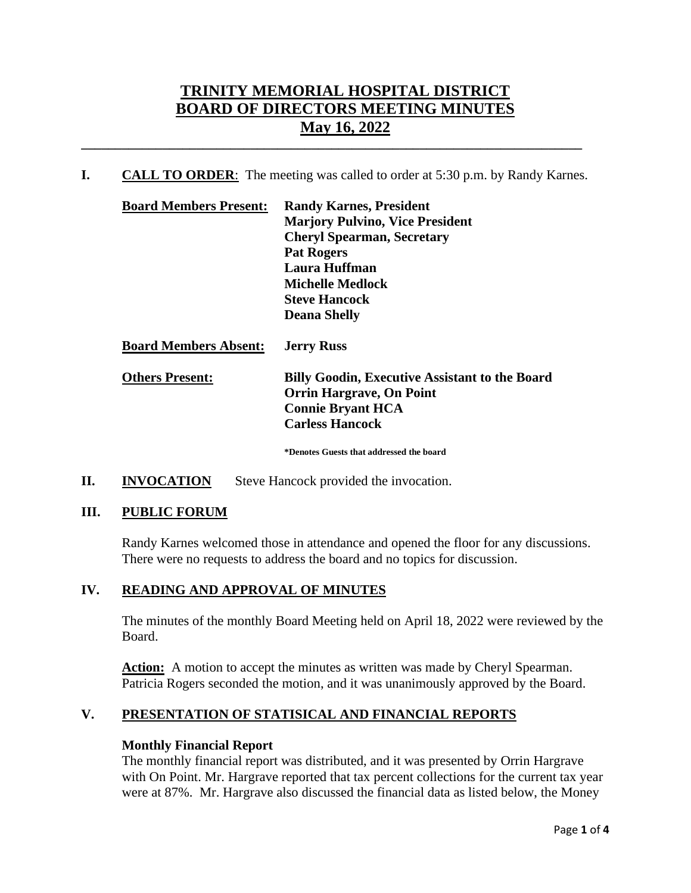# **TRINITY MEMORIAL HOSPITAL DISTRICT BOARD OF DIRECTORS MEETING MINUTES May 16, 2022**

**I. CALL TO ORDER**: The meeting was called to order at 5:30 p.m. by Randy Karnes.

**\_\_\_\_\_\_\_\_\_\_\_\_\_\_\_\_\_\_\_\_\_\_\_\_\_\_\_\_\_\_\_\_\_\_\_\_\_\_\_\_\_\_\_\_\_\_\_\_\_\_\_\_\_\_\_\_\_\_\_\_\_\_\_\_\_\_\_\_\_\_\_\_\_\_**

| <b>Board Members Present:</b> | <b>Randy Karnes, President</b>                        |
|-------------------------------|-------------------------------------------------------|
|                               | <b>Marjory Pulvino, Vice President</b>                |
|                               | <b>Cheryl Spearman, Secretary</b>                     |
|                               | <b>Pat Rogers</b>                                     |
|                               | Laura Huffman                                         |
|                               | <b>Michelle Medlock</b>                               |
|                               | <b>Steve Hancock</b>                                  |
|                               | <b>Deana Shelly</b>                                   |
| <b>Board Members Absent:</b>  | <b>Jerry Russ</b>                                     |
| <b>Others Present:</b>        | <b>Billy Goodin, Executive Assistant to the Board</b> |
|                               | <b>Orrin Hargrave, On Point</b>                       |
|                               | <b>Connie Bryant HCA</b>                              |

**\*Denotes Guests that addressed the board**

**Carless Hancock**

**II. INVOCATION** Steve Hancock provided the invocation.

#### **III. PUBLIC FORUM**

Randy Karnes welcomed those in attendance and opened the floor for any discussions. There were no requests to address the board and no topics for discussion.

#### **IV. READING AND APPROVAL OF MINUTES**

The minutes of the monthly Board Meeting held on April 18, 2022 were reviewed by the Board.

**Action:** A motion to accept the minutes as written was made by Cheryl Spearman. Patricia Rogers seconded the motion, and it was unanimously approved by the Board.

# **V. PRESENTATION OF STATISICAL AND FINANCIAL REPORTS**

#### **Monthly Financial Report**

The monthly financial report was distributed, and it was presented by Orrin Hargrave with On Point. Mr. Hargrave reported that tax percent collections for the current tax year were at 87%. Mr. Hargrave also discussed the financial data as listed below, the Money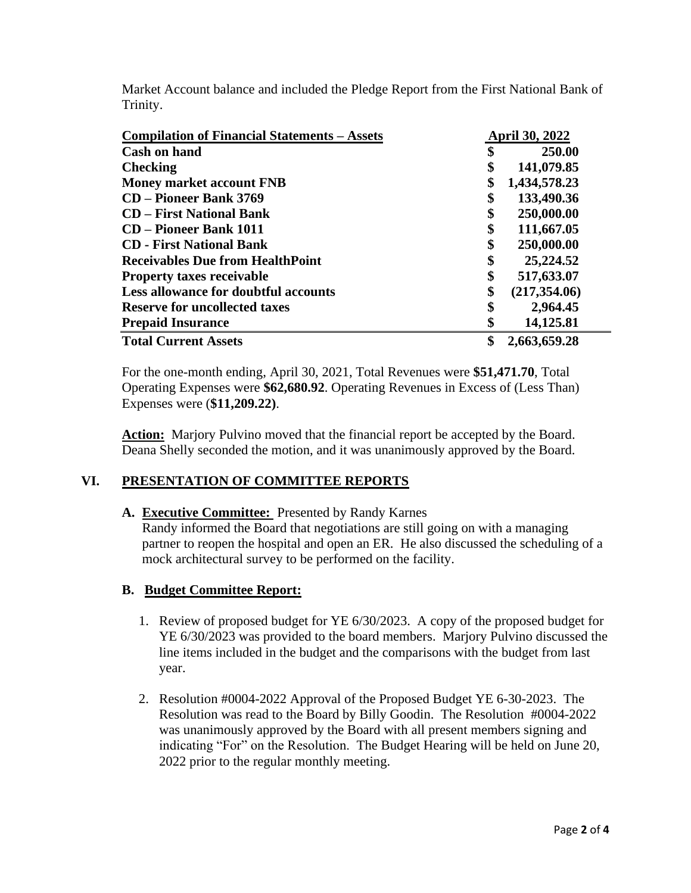Market Account balance and included the Pledge Report from the First National Bank of Trinity.

| <b>Compilation of Financial Statements – Assets</b> |    | <b>April 30, 2022</b> |  |
|-----------------------------------------------------|----|-----------------------|--|
| <b>Cash on hand</b>                                 | \$ | 250.00                |  |
| <b>Checking</b>                                     | \$ | 141,079.85            |  |
| <b>Money market account FNB</b>                     | \$ | 1,434,578.23          |  |
| <b>CD</b> – Pioneer Bank 3769                       | \$ | 133,490.36            |  |
| <b>CD</b> – First National Bank                     | \$ | 250,000.00            |  |
| <b>CD</b> – Pioneer Bank 1011                       | \$ | 111,667.05            |  |
| <b>CD</b> - First National Bank                     | \$ | 250,000.00            |  |
| <b>Receivables Due from HealthPoint</b>             | \$ | 25,224.52             |  |
| <b>Property taxes receivable</b>                    | \$ | 517,633.07            |  |
| Less allowance for doubtful accounts                | \$ | (217, 354.06)         |  |
| <b>Reserve for uncollected taxes</b>                | \$ | 2,964.45              |  |
| <b>Prepaid Insurance</b>                            | \$ | 14,125.81             |  |
| <b>Total Current Assets</b>                         | \$ | 2,663,659.28          |  |

For the one-month ending, April 30, 2021, Total Revenues were **\$51,471.70**, Total Operating Expenses were **\$62,680.92**. Operating Revenues in Excess of (Less Than) Expenses were (**\$11,209.22)**.

**Action:** Marjory Pulvino moved that the financial report be accepted by the Board. Deana Shelly seconded the motion, and it was unanimously approved by the Board.

#### **VI. PRESENTATION OF COMMITTEE REPORTS**

**A. Executive Committee:** Presented by Randy Karnes

Randy informed the Board that negotiations are still going on with a managing partner to reopen the hospital and open an ER. He also discussed the scheduling of a mock architectural survey to be performed on the facility.

#### **B. Budget Committee Report:**

- 1. Review of proposed budget for YE 6/30/2023. A copy of the proposed budget for YE 6/30/2023 was provided to the board members. Marjory Pulvino discussed the line items included in the budget and the comparisons with the budget from last year.
- 2. Resolution #0004-2022 Approval of the Proposed Budget YE 6-30-2023. The Resolution was read to the Board by Billy Goodin. The Resolution #0004-2022 was unanimously approved by the Board with all present members signing and indicating "For" on the Resolution. The Budget Hearing will be held on June 20, 2022 prior to the regular monthly meeting.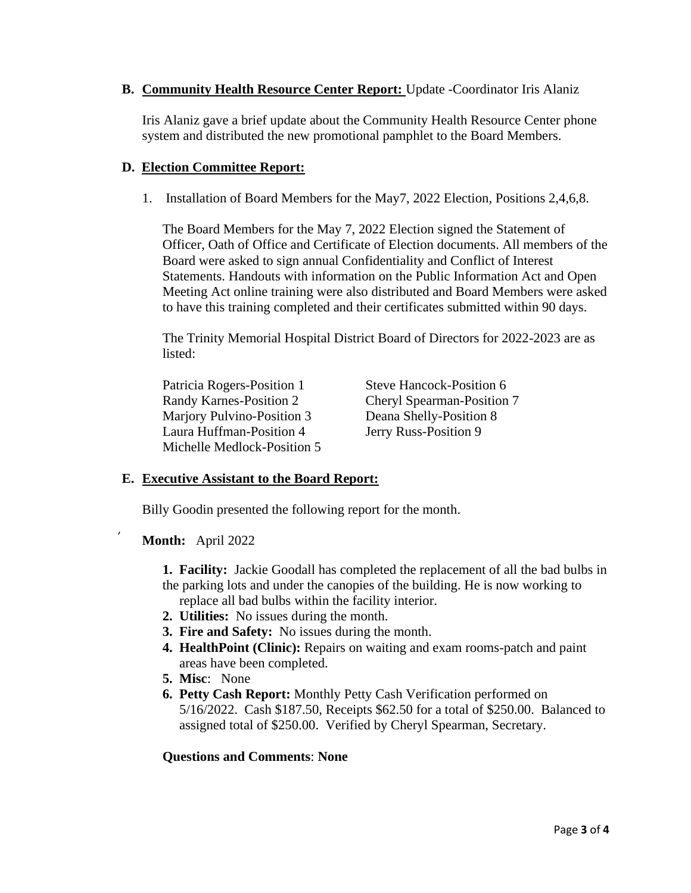#### **B. Community Health Resource Center Report:** Update -Coordinator Iris Alaniz

Iris Alaniz gave a brief update about the Community Health Resource Center phone system and distributed the new promotional pamphlet to the Board Members.

#### **D. Election Committee Report:**

1. Installation of Board Members for the May7, 2022 Election, Positions 2,4,6,8.

The Board Members for the May 7, 2022 Election signed the Statement of Officer, Oath of Office and Certificate of Election documents. All members of the Board were asked to sign annual Confidentiality and Conflict of Interest Statements. Handouts with information on the Public Information Act and Open Meeting Act online training were also distributed and Board Members were asked to have this training completed and their certificates submitted within 90 days.

The Trinity Memorial Hospital District Board of Directors for 2022-2023 are as listed:

Patricia Rogers-Position 1 Steve Hancock-Position 6 Randy Karnes-Position 2 Cheryl Spearman-Position 7 Marjory Pulvino-Position 3 Deana Shelly-Position 8 Laura Huffman-Position 4 Jerry Russ-Position 9 Michelle Medlock-Position 5

# **E. Executive Assistant to the Board Report:**

Billy Goodin presented the following report for the month.

**Month:** April 2022

**1. Facility:** Jackie Goodall has completed the replacement of all the bad bulbs in the parking lots and under the canopies of the building. He is now working to replace all bad bulbs within the facility interior.

- **2. Utilities:** No issues during the month.
- **3. Fire and Safety:** No issues during the month.
- **4. HealthPoint (Clinic):** Repairs on waiting and exam rooms-patch and paint areas have been completed.
- **5. Misc**: None
- **6. Petty Cash Report:** Monthly Petty Cash Verification performed on 5/16/2022. Cash \$187.50, Receipts \$62.50 for a total of \$250.00. Balanced to assigned total of \$250.00. Verified by Cheryl Spearman, Secretary.

# **Questions and Comments**: **None**